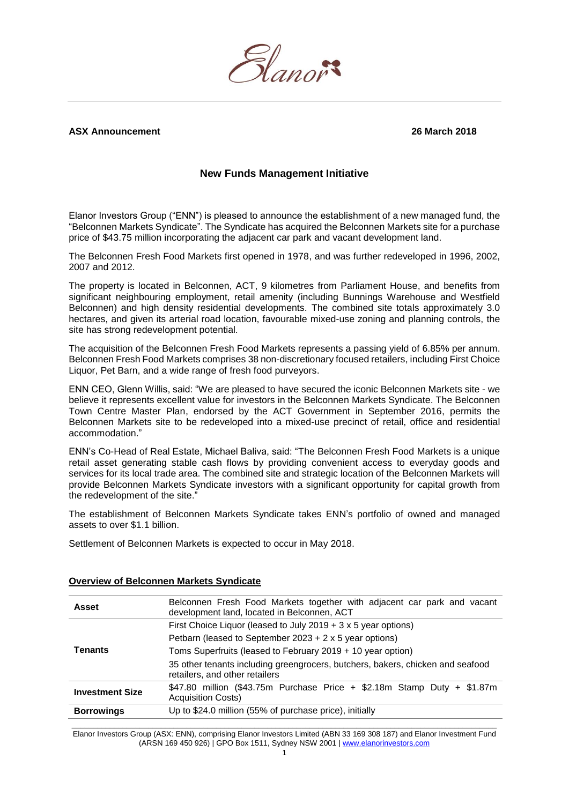

## **ASX Announcement 26 March 2018**

## **New Funds Management Initiative**

Elanor Investors Group ("ENN") is pleased to announce the establishment of a new managed fund, the "Belconnen Markets Syndicate". The Syndicate has acquired the Belconnen Markets site for a purchase price of \$43.75 million incorporating the adjacent car park and vacant development land.

The Belconnen Fresh Food Markets first opened in 1978, and was further redeveloped in 1996, 2002, 2007 and 2012.

The property is located in Belconnen, ACT, 9 kilometres from Parliament House, and benefits from significant neighbouring employment, retail amenity (including Bunnings Warehouse and Westfield Belconnen) and high density residential developments. The combined site totals approximately 3.0 hectares, and given its arterial road location, favourable mixed-use zoning and planning controls, the site has strong redevelopment potential.

The acquisition of the Belconnen Fresh Food Markets represents a passing yield of 6.85% per annum. Belconnen Fresh Food Markets comprises 38 non-discretionary focused retailers, including First Choice Liquor, Pet Barn, and a wide range of fresh food purveyors.

ENN CEO, Glenn Willis, said: "We are pleased to have secured the iconic Belconnen Markets site - we believe it represents excellent value for investors in the Belconnen Markets Syndicate. The Belconnen Town Centre Master Plan, endorsed by the ACT Government in September 2016, permits the Belconnen Markets site to be redeveloped into a mixed-use precinct of retail, office and residential accommodation."

ENN's Co-Head of Real Estate, Michael Baliva, said: "The Belconnen Fresh Food Markets is a unique retail asset generating stable cash flows by providing convenient access to everyday goods and services for its local trade area. The combined site and strategic location of the Belconnen Markets will provide Belconnen Markets Syndicate investors with a significant opportunity for capital growth from the redevelopment of the site."

The establishment of Belconnen Markets Syndicate takes ENN's portfolio of owned and managed assets to over \$1.1 billion.

Settlement of Belconnen Markets is expected to occur in May 2018.

| <b>Asset</b>           | Belconnen Fresh Food Markets together with adjacent car park and vacant<br>development land, located in Belconnen, ACT |
|------------------------|------------------------------------------------------------------------------------------------------------------------|
| Tenants                | First Choice Liquor (leased to July 2019 + 3 x 5 year options)                                                         |
|                        | Petbarn (leased to September $2023 + 2 \times 5$ year options)                                                         |
|                        | Toms Superfruits (leased to February 2019 + 10 year option)                                                            |
|                        | 35 other tenants including greengrocers, butchers, bakers, chicken and seafood<br>retailers, and other retailers       |
| <b>Investment Size</b> | \$47.80 million (\$43.75m Purchase Price + \$2.18m Stamp Duty + \$1.87m<br><b>Acquisition Costs)</b>                   |
| <b>Borrowings</b>      | Up to \$24.0 million (55% of purchase price), initially                                                                |

#### **Overview of Belconnen Markets Syndicate**

 $\_$  , and the set of the set of the set of the set of the set of the set of the set of the set of the set of the set of the set of the set of the set of the set of the set of the set of the set of the set of the set of th Elanor Investors Group (ASX: ENN), comprising Elanor Investors Limited (ABN 33 169 308 187) and Elanor Investment Fund (ARSN 169 450 926) | GPO Box 1511, Sydney NSW 2001 [| www.elanorinvestors.com](http://www.elanorinvestors.com/)